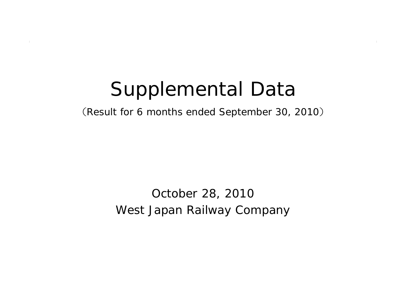# Supplemental Data

(Result for 6 months ended September 30, 2010 )

#### West Japan Railway Company October 28, 2010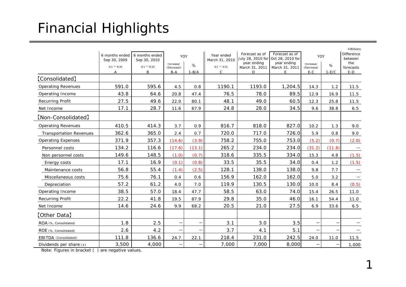## Financial Highlights

|                                |                    |                    |            |         |                 |                                     |                                    |                          |         | ¥ Billions                   |
|--------------------------------|--------------------|--------------------|------------|---------|-----------------|-------------------------------------|------------------------------------|--------------------------|---------|------------------------------|
|                                | 6 months ended     | 6 months ended     |            | YOY     | Year ended      | Forecast as of<br>July 28, 2010 for | Forecast as of<br>Oct 28, 2010 for |                          | YOY     | <b>Difference</b><br>between |
|                                | Sep 30, 2009       | Sep 30, 2010       | Increase/  |         | March 31, 2010  | year ending                         | year ending                        | Increase/                |         | the                          |
|                                | $4/1 \approx 9/30$ | $4/1 \approx 9/30$ | (Decrease) | %       | $4/1 \sim 3/31$ | March 31, 2011                      | March 31, 2011                     | (Decrease)               | %       | forecasts                    |
|                                | А                  | B                  | $B-A$      | $1-B/A$ | $\mathsf{C}$    | D                                   | E                                  | $E-C$                    | $1-E/C$ | $E-D$                        |
| [Consolidated]                 |                    |                    |            |         |                 |                                     |                                    |                          |         |                              |
| <b>Operating Revenues</b>      | 591.0              | 595.6              | 4.5        | 0.8     | 1190.1          | 1193.0                              | 1,204.5                            | 14.3                     | 1.2     | 11.5                         |
| Operating Income               | 43.8               | 64.6               | 20.8       | 47.4    | 76.5            | 78.0                                | 89.5                               | 12.9                     | 16.9    | 11.5                         |
| <b>Recurring Profit</b>        | 27.5               | 49.6               | 22.0       | 80.1    | 48.1            | 49.0                                | 60.5                               | 12.3                     | 25.8    | 11.5                         |
| Net Income                     | 17.1               | 28.7               | 11.6       | 67.9    | 24.8            | 28.0                                | 34.5                               | 9.6                      | 38.8    | 6.5                          |
| [Non-Consolidated]             |                    |                    |            |         |                 |                                     |                                    |                          |         |                              |
| <b>Operating Revenues</b>      | 410.5              | 414.3              | 3.7        | 0.9     | 816.7           | 818.0                               | 827.0                              | 10.2                     | 1.3     | 9.0                          |
| <b>Transportation Revenues</b> | 362.6              | 365.0              | 2.4        | 0.7     | 720.0           | 717.0                               | 726.0                              | 5.9                      | 0.8     | 9.0                          |
| <b>Operating Expenses</b>      | 371.9              | 357.3              | (14.6)     | (3.9)   | 758.2           | 755.0                               | 753.0                              | (5.2)                    | (0.7)   | (2.0)                        |
| Personnel costs                | 134.2              | 116.6              | (17.6)     | (13.1)  | 265.2           | 234.0                               | 234.0                              | (31.2)                   | (11.8)  |                              |
| Non personnel costs            | 149.6              | 148.5              | (1.0)      | (0.7)   | 318.6           | 335.5                               | 334.0                              | 15.3                     | 4.8     | (1.5)                        |
| Energy costs                   | 17.1               | 16.9               | (0.1)      | (0.8)   | 33.5            | 35.5                                | 34.0                               | 0.4                      | 1.2     | (1.5)                        |
| Maintenance costs              | 56.8               | 55.4               | (1.4)      | (2.5)   | 128.1           | 138.0                               | 138.0                              | 9.8                      | 7.7     |                              |
| Miscellaneous costs            | 75.6               | 76.1               | 0.4        | 0.6     | 156.9           | 162.0                               | 162.0                              | 5.0                      | 3.2     | $\equiv$                     |
| Depreciation                   | 57.2               | 61.2               | 4.0        | 7.0     | 119.9           | 130.5                               | 130.0                              | 10.0                     | 8.4     | (0.5)                        |
| Operating Income               | 38.5               | 57.0               | 18.4       | 47.7    | 58.5            | 63.0                                | 74.0                               | 15.4                     | 26.5    | 11.0                         |
| <b>Recurring Profit</b>        | 22.2               | 41.8               | 19.5       | 87.9    | 29.8            | 35.0                                | 46.0                               | 16.1                     | 54.4    | 11.0                         |
| Net Income                     | 14.6               | 24.6               | 9.9        | 68.2    | 20.5            | 21.0                                | 27.5                               | 6.9                      | 33.6    | $6.5$                        |
| [Other Data]                   |                    |                    |            |         |                 |                                     |                                    |                          |         |                              |
| ROA (%, Consolidated)          | 1.8                | 2.5                | ÷          | —       | 3.1             | 3.0                                 | 3.5                                | $\overline{\phantom{0}}$ |         |                              |
| ROE (%, Consolidated)          | 2.6                | 4.2                |            |         | 3.7             | 4.1                                 | 5.1                                |                          |         |                              |
| EBITDA (Consolidated)          | 111.8              | 136.6              | 24.7       | 22.1    | 218.4           | 231.0                               | 242.5                              | 24.0                     | 11.0    | 11.5                         |
| Dividends per share (¥)        | 3,500              | 4,000              |            |         | 7,000           | 7,000                               | 8,000                              |                          |         | 1,000                        |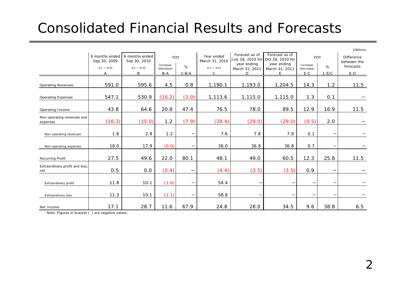### Consolidated Financial Results and Forecasts

|                                        |                                |                                |                         |                          |                                                                                      |                               |                               |                                 |                          | ¥ Billions                       |
|----------------------------------------|--------------------------------|--------------------------------|-------------------------|--------------------------|--------------------------------------------------------------------------------------|-------------------------------|-------------------------------|---------------------------------|--------------------------|----------------------------------|
|                                        | 6 months ended<br>Sep 30, 2009 | 6 months ended<br>Sep 30, 2010 | YOY                     |                          | Forecast as of<br>Year ended<br>July 28, 2010 for Oct 28, 2010 for<br>March 31, 2010 |                               | Forecast as of                | YOY                             |                          | <b>Difference</b><br>between the |
|                                        | $4/1 \sim 9/30$                | $4/1 \sim 9/30$                | Increase/<br>(Decrease) | $\%$                     | $4/1 \sim 3/31$                                                                      | year ending<br>March 31, 2011 | year ending<br>March 31, 2011 | Increase/<br>(Decrease)         | %                        | forecasts                        |
|                                        | Α                              | B                              | $B-A$                   | $1 - B/A$                | C                                                                                    | D                             | F.                            | $E-C$                           | $1-E/C$                  | $E-D$                            |
| <b>Operating Revenues</b>              | 591.0                          | 595.6                          | 4.5                     | 0.8                      | 1,190.1                                                                              | 1,193.0                       | 1,204.5                       | 14.3                            | 1.2                      | 11.5                             |
| <b>Operating Expenses</b>              | 547.1                          | 530.9                          | (16.2)                  | (3.0)                    | 1,113.6                                                                              | 1,115.0                       | 1,115.0                       | 1.3                             | 0.1                      |                                  |
| Operating Income                       | 43.8                           | 64.6                           | 20.8                    | 47.4                     | 76.5                                                                                 | 78.0                          | 89.5                          | 12.9                            | 16.9                     | 11.5                             |
| Non-operating revenues and<br>expenses | (16.3)                         | (15.0)                         | 1.2                     | (7.9)                    | (28.4)                                                                               | (29.0)                        | (29.0)                        | (0.5)                           | 2.0                      |                                  |
| Non-operating revenues                 | 1.6                            | 2.9                            | 1.2                     |                          | 7.6                                                                                  | 7.8                           | 7.8                           | 0.1                             |                          |                                  |
| Non-operating expenses                 | 18.0                           | 17.9                           | (0.0)                   | —                        | 36.0                                                                                 | 36.8                          | 36.8                          | 0.7                             |                          |                                  |
| Recurring Profit                       | 27.5                           | 49.6                           | 22.0                    | 80.1                     | 48.1                                                                                 | 49.0                          | 60.5                          | 12.3                            | 25.8                     | 11.5                             |
| Extraordinary profit and loss,<br>net  | 0.5                            | 0.0                            | (0.4)                   | $\overline{\phantom{m}}$ | (4.4)                                                                                | (3.5)                         | (3.5)                         | 0.9                             | $\overline{\phantom{0}}$ |                                  |
| Extraordinary profit                   | 11.8                           | 10.1                           | (1.6)                   |                          | 54.4                                                                                 | $\qquad \qquad$               |                               | $\qquad \qquad$                 | —                        |                                  |
| <b>Extraordinary loss</b>              | 11.3                           | 10.1                           | (1.1)                   | —                        | 58.8                                                                                 | -                             |                               | $\hspace{0.1mm}-\hspace{0.1mm}$ | $\overline{\phantom{m}}$ |                                  |
| Net Income                             | 17.1                           | 28.7                           | 11.6                    | 67.9                     | 24.8                                                                                 | 28.0                          | 34.5                          | 9.6                             | 38.8                     | 6.5                              |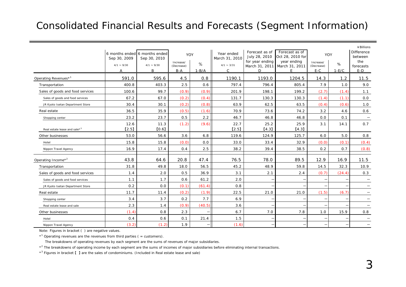#### Consolidated Financial Results and Forecasts (Segment Information)

|                                          |                 |                                               |                     |         |                              |                                     |                                    |                          |         | ¥ Billions                   |
|------------------------------------------|-----------------|-----------------------------------------------|---------------------|---------|------------------------------|-------------------------------------|------------------------------------|--------------------------|---------|------------------------------|
|                                          | Sep 30, 2009    | 6 months ended 6 months ended<br>Sep 30, 2010 | <b>YOY</b>          |         | Year ended<br>March 31, 2010 | Forecast as of<br>July 28, 2010     | Forecast as of<br>Oct 28, 2010 for | YOY                      |         | <b>Difference</b><br>between |
|                                          | $4/1 \sim 9/30$ | $4/1 \sim 9/30$                               | Increase/           | $\%$    | $4/1 \sim 3/31$              | for year ending                     | year ending                        | Increase/                | %       | the                          |
|                                          | А               | B                                             | (Decrease)<br>$B-A$ | $1-B/A$ | $\mathcal{C}$                | March 31, 2011 March 31, 2011<br>D. | Е                                  | (Decrease)<br>$E-C$      | $1-E/C$ | forecasts<br>$E-D$           |
| Operating Revenues* <sup>1</sup>         | 591.0           | 595.6                                         | 4.5                 | 0.8     | 1190.1                       | 1193.0                              | 1204.5                             | 14.3                     | 1.2     | 11.5                         |
| Transportation                           | 400.8           | 403.3                                         | 2.5                 | 0.6     | 797.4                        | 796.4                               | 805.4                              | 7.9                      | 1.0     | 9.0                          |
| Sales of goods and food services         | 100.6           | 99.7                                          | (0.9)               | (0.9)   | 201.9                        | 198.1                               | 199.2                              | (2.7)                    | (1.4)   | 1.1                          |
| Sales of goods and food services         | 67.2            | 67.0                                          | (0.2)               | (0.4)   | 131.7                        | 130.3                               | 130.3                              | (1.4)                    | (1.1)   | 0.0                          |
| JR Kyoto Isetan Department Store         | 30.4            | 30.1                                          | (0.2)               | (0.8)   | 63.9                         | 62.5                                | 63.5                               | (0.4)                    | (0.6)   | 1.0                          |
| Real estate                              | 36.5            | 35.9                                          | (0.5)               | (1.6)   | 70.9                         | 73.6                                | 74.2                               | 3.2                      | 4.6     | 0.6                          |
| Shopping center                          | 23.2            | 23.7                                          | 0.5                 | 2.2     | 46.7                         | 46.8                                | 46.8                               | 0.0                      | 0.1     | $\overline{\phantom{m}}$     |
|                                          | 12.6            | 11.3                                          | (1.2)               | (9.6)   | 22.7                         | 25.2                                | 25.9                               | 3.1                      | 14.1    | 0.7                          |
| Real estate lease and sale* <sup>3</sup> | [2.5]           | [0.6]                                         |                     |         | [2.5]                        | [4.3]                               | [4.3]                              |                          |         |                              |
| Other businesses                         | 53.0            | 56.6                                          | 3.6                 | 6.8     | 119.6                        | 124.9                               | 125.7                              | 6.0                      | 5.0     | 0.8                          |
| Hotel                                    | 15.8            | 15.8                                          | (0.0)               | 0.0     | 33.0                         | 33.4                                | 32.9                               | (0.0)                    | (0.1)   | (0.4)                        |
| Nippon Travel Agency                     | 16.9            | 17.4                                          | 0.4                 | 2.5     | 38.2                         | 39.4                                | 38.5                               | 0.2                      | 0.7     | (0.8)                        |
| Operating Income* <sup>2</sup>           | 43.8            | 64.6                                          | 20.8                | 47.4    | 76.5                         | 78.0                                | 89.5                               | 12.9                     | 16.9    | 11.5                         |
| Transportation                           | 31.8            | 49.8                                          | 18.0                | 56.5    | 45.2                         | 48.9                                | 59.8                               | 14.5                     | 32.3    | 10.9                         |
| Sales of goods and food services         | 1.4             | 2.0                                           | 0.5                 | 36.9    | 3.1                          | 2.1                                 | 2.4                                | (0.7)                    | (24.4)  | 0.3                          |
| Sales of goods and food services         | 1.1             | 1.7                                           | 0.6                 | 61.2    | 2.0                          |                                     |                                    |                          |         |                              |
| JR Kyoto Isetan Department Store         | 0.2             | 0.0                                           | (0.1)               | (61.4)  | 0.8                          |                                     |                                    | $\overline{\phantom{0}}$ |         | $\overline{\phantom{m}}$     |
| Real estate                              | 11.7            | 11.4                                          | (0.2)               | (1.9)   | 22.5                         | 21.0                                | 21.0                               | (1.5)                    | (6.7)   |                              |
| Shopping center                          | 3.4             | 3.7                                           | 0.2                 | 7.7     | 6.9                          |                                     |                                    |                          |         |                              |
| Real estate lease and sale               | 2.3             | 1.4                                           | (0.9)               | (40.5)  | 3.6                          |                                     |                                    |                          |         | $\overline{\phantom{0}}$     |
| Other businesses                         | (1.4)           | 0.8                                           | 2.3                 | -       | 6.7                          | 7.0                                 | 7.8                                | 1.0                      | 15.9    | 0.8                          |
| Hotel                                    | 0.4             | 0.6                                           | 0.1                 | 21.4    | 1.5                          |                                     |                                    |                          |         |                              |
| Nippon Travel Agency                     | (3.2)           | (1.2)                                         | 1.9                 | -       | (1.6)                        |                                     |                                    |                          |         |                              |

Note: Figures in bracket ( ) are negative values.

 $*$ <sup>1</sup> Operating revenues are the revenues from third parties ( = customers).

The breakdowns of operating revenues by each segment are the sums of revenues of major subsidiaries.

\*<sup>2</sup> The breakdowns of operating income by each segment are the sums of incomes of major subsidiaries before eliminating internal transactions.

\*3 Figures in bracket 【 】 are the sales of condominiums. (Included in Real estate lease and sale)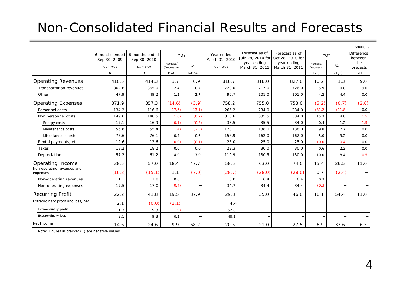#### Non-Consolidated Financial Results and Forecasts

|                                        |                    |                                               |                         |         |                              |                                     |                                    |                         |         | ¥Billions             |
|----------------------------------------|--------------------|-----------------------------------------------|-------------------------|---------|------------------------------|-------------------------------------|------------------------------------|-------------------------|---------|-----------------------|
|                                        | Sep 30, 2009       | 6 months ended 6 months ended<br>Sep 30, 2010 | YOY                     |         | Year ended<br>March 31, 2010 | Forecast as of<br>July 28, 2010 for | Forecast as of<br>Oct 28, 2010 for | YOY                     |         | Difference<br>between |
|                                        | $4/1 \approx 9/30$ | $4/1 \approx 9/30$                            | Increase/<br>(Decrease) | %       | $4/1 \sim 3/31$              | year ending<br>March 31, 2011       | year ending<br>March 31, 2011      | Increase/<br>(Decrease) | %       | the<br>forecasts      |
|                                        | A                  | B                                             | $B-A$                   | $1-B/A$ | $\mathsf{C}$                 | D                                   | E                                  | $E-C$                   | $1-E/C$ | $E-D$                 |
| <b>Operating Revenues</b>              | 410.5              | 414.3                                         | 3.7                     | 0.9     | 816.7                        | 818.0                               | 827.0                              | 10.2                    | 1.3     | 9.0                   |
| Transportation revenues                | 362.6              | 365.0                                         | 2.4                     | 0.7     | 720.0                        | 717.0                               | 726.0                              | 5.9                     | 0.8     | 9.0                   |
| Other                                  | 47.9               | 49.2                                          | 1.2                     | 2.7     | 96.7                         | 101.0                               | 101.0                              | 4.2                     | 4.4     | 0.0                   |
| <b>Operating Expenses</b>              | 371.9              | 357.3                                         | (14.6)                  | (3.9)   | 758.2                        | 755.0                               | 753.0                              | (5.2)                   | (0.7)   | (2.0)                 |
| Personnel costs                        | 134.2              | 116.6                                         | (17.6)                  | (13.1)  | 265.2                        | 234.0                               | 234.0                              | (31.2)                  | (11.8)  | 0.0                   |
| Non personnel costs                    | 149.6              | 148.5                                         | (1.0)                   | (0.7)   | 318.6                        | 335.5                               | 334.0                              | 15.3                    | 4.8     | (1.5)                 |
| Energy costs                           | 17.1               | 16.9                                          | (0.1)                   | (0.8)   | 33.5                         | 35.5                                | 34.0                               | 0.4                     | 1.2     | (1.5)                 |
| Maintenance costs                      | 56.8               | 55.4                                          | (1.4)                   | (2.5)   | 128.1                        | 138.0                               | 138.0                              | 9.8                     | 7.7     | 0.0                   |
| Miscellaneous costs                    | 75.6               | 76.1                                          | 0.4                     | 0.6     | 156.9                        | 162.0                               | 162.0                              | 5.0                     | 3.2     | $0.0\,$               |
| Rental payments, etc.                  | 12.6               | 12.6                                          | (0.0)                   | (0.1)   | 25.0                         | 25.0                                | 25.0                               | (0.0)                   | (0.4)   | 0.0                   |
| Taxes                                  | 18.2               | 18.2                                          | 0.0                     | 0.0     | 29.3                         | 30.0                                | 30.0                               | 0.6                     | 2.2     | 0.0                   |
| Depreciation                           | 57.2               | 61.2                                          | 4.0                     | 7.0     | 119.9                        | 130.5                               | 130.0                              | 10.0                    | 8.4     | (0.5)                 |
| Operating Income                       | 38.5               | 57.0                                          | 18.4                    | 47.7    | 58.5                         | 63.0                                | 74.0                               | 15.4                    | 26.5    | 11.0                  |
| Non-operating revenues and<br>expenses | (16.3)             | (15.1)                                        | 1.1                     | (7.0)   | (28.7)                       | (28.0)                              | (28.0)                             | 0.7                     | (2.4)   |                       |
| Non-operating revenues                 | 1.1                | 1.8                                           | 0.6                     |         | 6.0                          | 6.4                                 | 6.4                                | 0.3                     |         |                       |
| Non-operating expenses                 | 17.5               | 17.0                                          | (0.4)                   |         | 34.7                         | 34.4                                | 34.4                               | (0.3)                   |         |                       |
| <b>Recurring Profit</b>                | 22.2               | 41.8                                          | 19.5                    | 87.9    | 29.8                         | 35.0                                | 46.0                               | 16.1                    | 54.4    | 11.0                  |
| Extraordinary profit and loss, net     | 2.1                | (0.0)                                         | (2.1)                   | —       | 4.4                          |                                     |                                    | —                       |         |                       |
| Extraordinary profit                   | 11.3               | 9.3                                           | (1.9)                   | $-\,$   | 52.8                         | $\overline{\phantom{m}}$            |                                    |                         |         | $\qquad \qquad -$     |
| <b>Extraordinary loss</b>              | 9.1                | 9.3                                           | 0.2                     |         | 48.3                         |                                     |                                    |                         |         |                       |
| Net Income                             | 14.6               | 24.6                                          | 9.9                     | 68.2    | 20.5                         | 21.0                                | 27.5                               | 6.9                     | 33.6    | 6.5                   |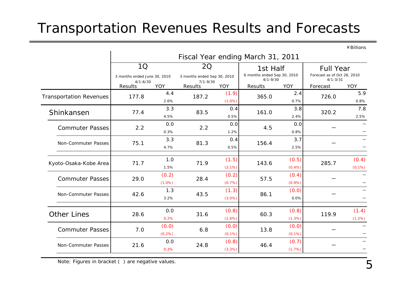### Transportation Revenues Results and Forecasts

¥Billions

|                                | Fiscal Year ending March 31, 2011                  |                    |                                                          |                    |                                                         |                    |                                                                 |                    |  |  |
|--------------------------------|----------------------------------------------------|--------------------|----------------------------------------------------------|--------------------|---------------------------------------------------------|--------------------|-----------------------------------------------------------------|--------------------|--|--|
|                                | 1Q<br>3 months ended June 30, 2010<br>$4/1 - 6/30$ |                    | <b>2Q</b><br>3 months ended Sep 30, 2010<br>$7/1 - 9/30$ |                    | 1st Half<br>6 months ended Sep 30, 2010<br>$4/1 - 9/30$ |                    | <b>Full Year</b><br>Forecast as of Oct 28, 2010<br>$4/1 - 3/31$ |                    |  |  |
|                                | Results                                            | <b>YOY</b>         | Results                                                  | <b>YOY</b>         | Results                                                 | YOY                | Forecast                                                        | YOY                |  |  |
| <b>Transportation Revenues</b> | 177.8                                              | 4.4<br>2.6%        | 187.2                                                    | (1.9)<br>$(1.0\%)$ | 365.0                                                   | 2.4<br>0.7%        | 726.0                                                           | 5.9<br>0.8%        |  |  |
| Shinkansen                     | 77.4                                               | 3.3<br>4.5%        | 83.5                                                     | 0.4<br>0.5%        | 161.0                                                   | 3.8<br>2.4%        | 320.2                                                           | 7.8<br>2.5%        |  |  |
| <b>Commuter Passes</b>         | 2.2                                                | 0.0<br>0.3%        | 2.2                                                      | 0.0<br>1.2%        | 4.5                                                     | 0.0<br>0.8%        |                                                                 |                    |  |  |
| Non-Commuter Passes            | 75.1                                               | 3.3<br>4.7%        | 81.3                                                     | 0.4<br>0.5%        | 156.4                                                   | 3.7<br>2.5%        |                                                                 |                    |  |  |
| Kyoto-Osaka-Kobe Area          | 71.7                                               | 1.0<br>1.5%        | 71.9                                                     | (1.5)<br>(2.1%)    | 143.6                                                   | (0.5)<br>$(0.4\%)$ | 285.7                                                           | (0.4)<br>$(0.1\%)$ |  |  |
| <b>Commuter Passes</b>         | 29.0                                               | (0.2)<br>$(1.0\%)$ | 28.4                                                     | (0.2)<br>(0.7%)    | 57.5                                                    | (0.4)<br>(0.9%)    |                                                                 |                    |  |  |
| Non-Commuter Passes            | 42.6                                               | 1.3<br>3.2%        | 43.5                                                     | (1.3)<br>$(3.0\%)$ | 86.1                                                    | (0.0)<br>0.0%      |                                                                 |                    |  |  |
| <b>Other Lines</b>             | 28.6                                               | 0.0<br>0.2%        | 31.6                                                     | (0.8)<br>(2.6%)    | 60.3                                                    | (0.8)<br>(1.3%)    | 119.9                                                           | (1.4)<br>(1.2%)    |  |  |
| <b>Commuter Passes</b>         | 7.0                                                | (0.0)<br>(0.2%)    | 6.8                                                      | (0.0)<br>$(0.1\%)$ | 13.8                                                    | (0.0)<br>$(0.1\%)$ |                                                                 |                    |  |  |
| Non-Commuter Passes            | 21.6                                               | 0.0<br>0.3%        | 24.8                                                     | (0.8)<br>(3.3%)    | 46.4                                                    | (0.7)<br>(1.7%)    |                                                                 |                    |  |  |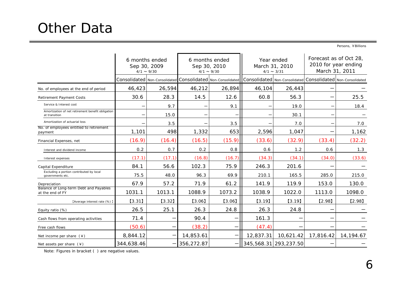Persons, ¥Billions

|                                                                    | 6 months ended<br>Sep 30, 2009<br>$4/1 \sim 9/30$ |        |            | 6 months ended<br>Sep 30, 2010<br>$4/1 \sim 9/30$ |                                                                                                                         | Year ended<br>March 31, 2010<br>$4/1 \sim 3/31$ | Forecast as of Oct 28,<br>2010 for year ending<br>March 31, 2011 |           |  |
|--------------------------------------------------------------------|---------------------------------------------------|--------|------------|---------------------------------------------------|-------------------------------------------------------------------------------------------------------------------------|-------------------------------------------------|------------------------------------------------------------------|-----------|--|
|                                                                    |                                                   |        |            |                                                   | Consolidated Non-Consolidated Consolidated Non-Consolidated Consolidated Non-Consolidated Consolidated Non-Consolidated |                                                 |                                                                  |           |  |
| No. of employees at the end of period                              | 46,423                                            | 26,594 | 46,212     | 26,894                                            | 46,104                                                                                                                  | 26,443                                          |                                                                  |           |  |
| <b>Retirement Payment Costs</b>                                    | 30.6                                              | 28.3   | 14.5       | 12.6                                              | 60.8                                                                                                                    | 56.3                                            |                                                                  | 25.5      |  |
| Service & Interest cost                                            |                                                   | 9.7    |            | 9.1                                               |                                                                                                                         | 19.0                                            |                                                                  | 18.4      |  |
| Amortization of net retirement benefit obligation<br>at transition |                                                   | 15.0   |            |                                                   |                                                                                                                         | 30.1                                            |                                                                  |           |  |
| Amortization of actuarial loss                                     |                                                   | 3.5    |            | 3.5                                               |                                                                                                                         | 7.0                                             |                                                                  | 7.0       |  |
| No. of employees entitled to retirement<br>payment                 | 1,101                                             | 498    | 1,332      | 653                                               | 2,596                                                                                                                   | 1,047                                           |                                                                  | 1,162     |  |
| Financial Expenses, net                                            | (16.9)                                            | (16.4) | (16.5)     | (15.9)                                            | (33.6)                                                                                                                  | (32.9)                                          | (33.4)                                                           | (32.2)    |  |
| Interest and dividend income                                       | 0.2                                               | 0.7    | 0.2        | 0.8                                               | 0.6                                                                                                                     | 1.2                                             | 0.6                                                              | 1.3       |  |
| Interest expenses                                                  | (17.1)                                            | (17.1) | (16.8)     | (16.7)                                            | (34.3)                                                                                                                  | (34.1)                                          | (34.0)                                                           | (33.6)    |  |
| Capital Expenditure                                                | 84.1                                              | 56.6   | 102.3      | 75.9                                              | 246.3                                                                                                                   | 201.6                                           |                                                                  |           |  |
| Excluding a portion contributed by local<br>governments etc.       | 75.5                                              | 48.0   | 96.3       | 69.9                                              | 210.1                                                                                                                   | 165.5                                           | 285.0                                                            | 215.0     |  |
| Depreciation                                                       | 67.9                                              | 57.2   | 71.9       | 61.2                                              | 141.9                                                                                                                   | 119.9                                           | 153.0                                                            | 130.0     |  |
| Balance of Long-term Debt and Payables<br>at the end of FY         | 1031.1                                            | 1013.1 | 1088.9     | 1073.2                                            | 1038.9                                                                                                                  | 1022.0                                          | 1113.0                                                           | 1098.0    |  |
| [Average interest rate (%) ]                                       | [3.31]                                            | [3.32] | $[3.06]$   | [3.06]                                            | [3.19]                                                                                                                  | [3.19]                                          | $[2.98]$                                                         | $[2.98]$  |  |
| Equity ratio (%)                                                   | 26.5                                              | 25.1   | 26.3       | 24.8                                              | 26.3                                                                                                                    | 24.8                                            |                                                                  |           |  |
| Cash flows from operating activities                               | 71.4                                              |        | 90.4       |                                                   | 161.3                                                                                                                   |                                                 |                                                                  |           |  |
| Free cash flows                                                    | (50.6)                                            |        | (38.2)     |                                                   | (47.4)                                                                                                                  |                                                 |                                                                  |           |  |
| Net income per share $(*)$                                         | 8,844.12                                          |        | 14,853.61  |                                                   | 12,837.31                                                                                                               | 10,621.42                                       | 17,816.42                                                        | 14,194.67 |  |
| Net assets per share $(*)$                                         | 344,638.46                                        |        | 356,272.87 |                                                   | 345,568.31 293,237.50                                                                                                   |                                                 |                                                                  |           |  |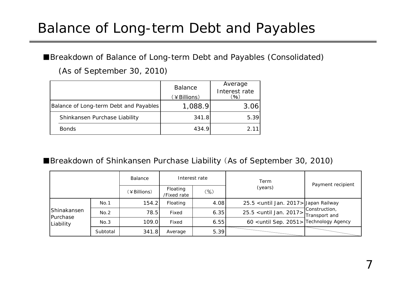#### Balance of Long-term Debt and Payables

■Breakdown of Balance of Long-term Debt and Payables (Consolidated)

(As of September 30, 2010)

|                                        | <b>Balance</b><br>(¥Billions) | Average<br>Interest rate<br>(96) |
|----------------------------------------|-------------------------------|----------------------------------|
| Balance of Long-term Debt and Payables | 1,088.9                       | 3.06                             |
| Shinkansen Purchase Liability          | 341.8                         | 5.39                             |
| <b>Bonds</b>                           | 434.9                         | 2 11                             |

#### ■Breakdown of Shinkansen Purchase Liability (As of September 30, 2010)

|                                      |          | Balance     |                                   | Interest rate | Term                                                 | Payment recipient |
|--------------------------------------|----------|-------------|-----------------------------------|---------------|------------------------------------------------------|-------------------|
|                                      |          | (¥Billions) | Floating<br>$(\%)$<br>/Fixed rate |               | (years)                                              |                   |
| Shinakansen<br>Purchase<br>Liability | No.1     | 154.2       | Floating                          | 4.08          | 25.5 <until 2017="" jan.=""> Japan Railway</until>   |                   |
|                                      | No.2     | 78.5        | Fixed                             | 6.35          |                                                      | Construction,     |
|                                      | No.3     | 109.0       | Fixed<br>6.55                     |               | 60 <until 2051="" sep.=""> Technology Agency</until> |                   |
|                                      | Subtotal | 341.8       | Average                           | 5.39          |                                                      |                   |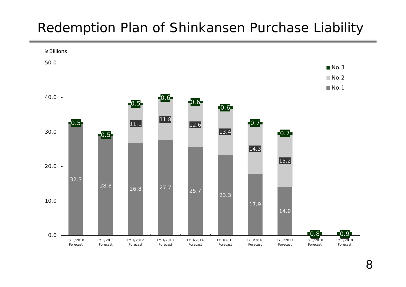#### Redemption Plan of Shinkansen Purchase Liability